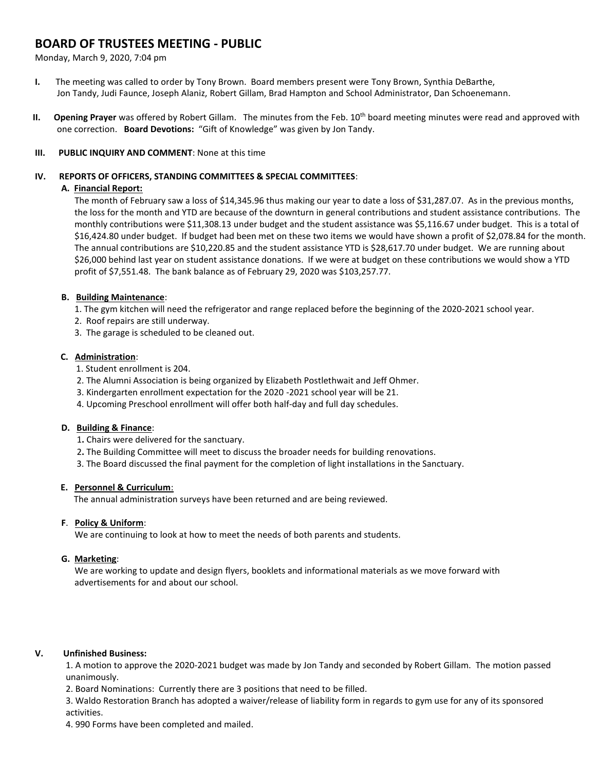# **BOARD OF TRUSTEES MEETING - PUBLIC**

Monday, March 9, 2020, 7:04 pm

- **I.** The meeting was called to order by Tony Brown. Board members present were Tony Brown, Synthia DeBarthe, Jon Tandy, Judi Faunce, Joseph Alaniz, Robert Gillam, Brad Hampton and School Administrator, Dan Schoenemann.
- **II.** Opening Prayer was offered by Robert Gillam. The minutes from the Feb. 10<sup>th</sup> board meeting minutes were read and approved with one correction. **Board Devotions:** "Gift of Knowledge" was given by Jon Tandy.

## **III. PUBLIC INQUIRY AND COMMENT**: None at this time

#### **IV. REPORTS OF OFFICERS, STANDING COMMITTEES & SPECIAL COMMITTEES**:

## **A. Financial Report:**

The month of February saw a loss of \$14,345.96 thus making our year to date a loss of \$31,287.07. As in the previous months, the loss for the month and YTD are because of the downturn in general contributions and student assistance contributions. The monthly contributions were \$11,308.13 under budget and the student assistance was \$5,116.67 under budget. This is a total of \$16,424.80 under budget. If budget had been met on these two items we would have shown a profit of \$2,078.84 for the month. The annual contributions are \$10,220.85 and the student assistance YTD is \$28,617.70 under budget. We are running about \$26,000 behind last year on student assistance donations. If we were at budget on these contributions we would show a YTD profit of \$7,551.48. The bank balance as of February 29, 2020 was \$103,257.77.

## **B. Building Maintenance**:

- 1. The gym kitchen will need the refrigerator and range replaced before the beginning of the 2020-2021 school year.
- 2. Roof repairs are still underway.
- 3. The garage is scheduled to be cleaned out.

## **C. Administration**:

- 1. Student enrollment is 204.
- 2. The Alumni Association is being organized by Elizabeth Postlethwait and Jeff Ohmer.
- 3. Kindergarten enrollment expectation for the 2020 -2021 school year will be 21.
- 4. Upcoming Preschool enrollment will offer both half-day and full day schedules.

# **D. Building & Finance**:

- 1**.** Chairs were delivered for the sanctuary.
- 2**.** The Building Committee will meet to discuss the broader needs for building renovations.
- 3. The Board discussed the final payment for the completion of light installations in the Sanctuary.

# **E. Personnel & Curriculum**:

The annual administration surveys have been returned and are being reviewed.

#### **F**. **Policy & Uniform**:

We are continuing to look at how to meet the needs of both parents and students.

# **G. Marketing**:

 We are working to update and design flyers, booklets and informational materials as we move forward with advertisements for and about our school.

# **V. Unfinished Business:**

1. A motion to approve the 2020-2021 budget was made by Jon Tandy and seconded by Robert Gillam. The motion passed unanimously.

2. Board Nominations: Currently there are 3 positions that need to be filled.

3. Waldo Restoration Branch has adopted a waiver/release of liability form in regards to gym use for any of its sponsored activities.

4. 990 Forms have been completed and mailed.